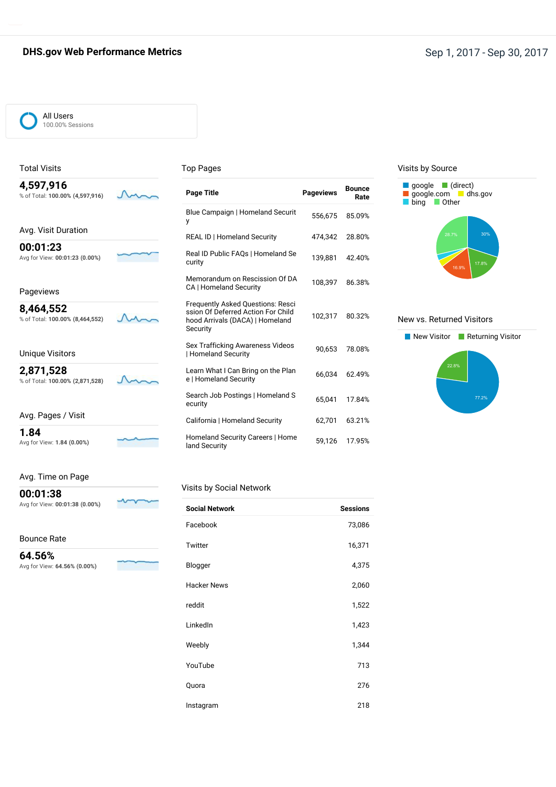### **DHS.gov Web Performance Metrics Sep 1, 2017** - Sep 30, 2017

M

M

 $\sim$ 

#### All Users 100.00% Sessions

% of Total: **100.00% (4,597,916)**

Avg. Visit Duration

Avg for View: **00:01:23 (0.00%)**

% of Total: **100.00% (8,464,552)**

**00:01:23**

Pageviews **8,464,552**

Total Visits **4,597,916**

#### Top Pages

| <b>Page Title</b>                                                                                                             | <b>Pageviews</b> | <b>Bounce</b><br>Rate |
|-------------------------------------------------------------------------------------------------------------------------------|------------------|-----------------------|
| Blue Campaign   Homeland Securit<br>y                                                                                         | 556,675          | 85.09%                |
| <b>REAL ID   Homeland Security</b>                                                                                            | 474.342          | 28.80%                |
| Real ID Public FAQs   Homeland Se<br>curity                                                                                   | 139,881          | 42.40%                |
| Memorandum on Rescission Of DA<br>CA   Homeland Security                                                                      | 108,397          | 86.38%                |
| <b>Frequently Asked Questions: Resci</b><br>ssion Of Deferred Action For Child<br>hood Arrivals (DACA)   Homeland<br>Security | 102,317          | 80.32%                |
| Sex Trafficking Awareness Videos<br>  Homeland Security                                                                       | 90,653           | 78.08%                |
| Learn What I Can Bring on the Plan<br>e   Homeland Security                                                                   | 66,034           | 62.49%                |
| Search Job Postings   Homeland S<br>ecurity                                                                                   | 65.041           | 17.84%                |
| California   Homeland Security                                                                                                | 62,701           | 63.21%                |
| Homeland Security Careers   Home<br>land Security                                                                             | 59,126           | 17.95%                |

#### Visits by Source



#### New vs. Returned Visitors



## % of Total: **100.00% (2,871,528)**

Unique Visitors **2,871,528**

| Avg. Pages / Visit |  |
|--------------------|--|
| 1.84               |  |

Avg for View: **1.84 (0.00%)**

Avg. Time on Page

## **00:01:38**

Avg for View: **00:01:38 (0.00%)**

Bounce Rate

**64.56%** Avg for View: 64.5

| $56\% (0.00\%)$ |  |
|-----------------|--|

### Visits by Social Network

| <b>Social Network</b> | <b>Sessions</b> |
|-----------------------|-----------------|
| Facebook              | 73,086          |
| Twitter               | 16,371          |
| Blogger               | 4,375           |
| <b>Hacker News</b>    | 2,060           |
| reddit                | 1,522           |
| LinkedIn              | 1,423           |
| Weebly                | 1,344           |
| YouTube               | 713             |
| Quora                 | 276             |
| Instagram             | 218             |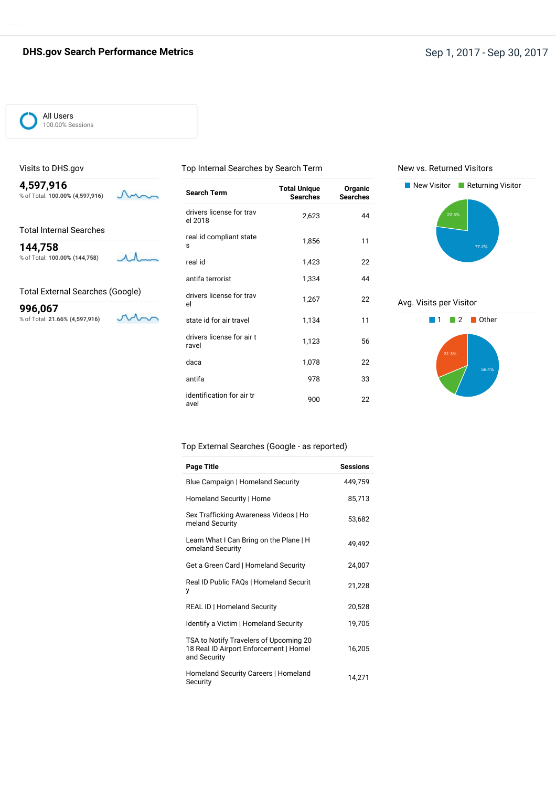All Users 100.00% Sessions

Visits to DHS.gov

#### Top Internal Searches by Search Term

New vs. Returned Visitors



Total Internal Searches

**144,758** % of Total: **100.00% (144,758)**  $\Lambda \Lambda$ 

Total External Searches (Google)

 $\mathcal{M}_{\Box}$ 

**996,067** % of Total: **21.66% (4,597,916)**

| <b>Search Term</b>                  | <b>Total Unique</b><br><b>Searches</b> | Organic<br><b>Searches</b> |
|-------------------------------------|----------------------------------------|----------------------------|
| drivers license for trav<br>el 2018 | 2,623                                  | 44                         |
| real id compliant state<br>s        | 1,856                                  | 11                         |
| real id                             | 1,423                                  | 22                         |
| antifa terrorist                    | 1,334                                  | 44                         |
| drivers license for trav<br>el      | 1,267                                  | 22                         |
| state id for air travel             | 1,134                                  | 11                         |
| drivers license for air t<br>ravel  | 1,123                                  | 56                         |
| daca                                | 1,078                                  | 22                         |
| antifa                              | 978                                    | 33                         |
| identification for air tr<br>avel   | 900                                    | 22                         |



Avg. Visits per Visitor



#### Top External Searches (Google - as reported)

| <b>Page Title</b>                                                                                | <b>Sessions</b> |
|--------------------------------------------------------------------------------------------------|-----------------|
| Blue Campaign   Homeland Security                                                                | 449,759         |
| Homeland Security   Home                                                                         | 85,713          |
| Sex Trafficking Awareness Videos   Ho<br>meland Security                                         | 53,682          |
| Learn What I Can Bring on the Plane   H<br>omeland Security                                      | 49,492          |
| Get a Green Card   Homeland Security                                                             | 24,007          |
| Real ID Public FAQs   Homeland Securit<br>у                                                      | 21,228          |
| <b>REAL ID   Homeland Security</b>                                                               | 20,528          |
| Identify a Victim   Homeland Security                                                            | 19,705          |
| TSA to Notify Travelers of Upcoming 20<br>18 Real ID Airport Enforcement   Homel<br>and Security | 16,205          |
| Homeland Security Careers   Homeland<br>Security                                                 | 14,271          |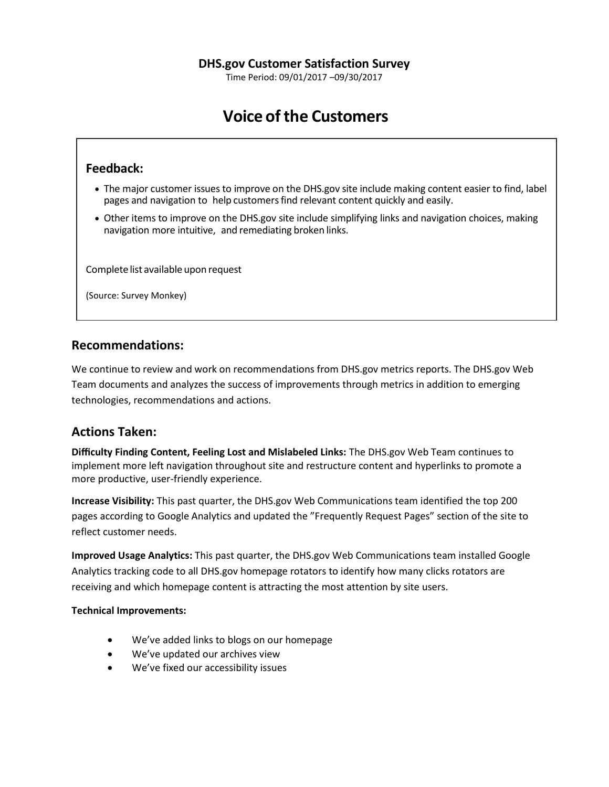Time Period: 09/01/2017 –09/30/2017

# **Voice of the Customers**

## **Feedback:**

- The major customer issues to improve on the DHS.gov site include making content easier to find, label pages and navigation to help customersfind relevant content quickly and easily.
- Other items to improve on the DHS.gov site include simplifying links and navigation choices, making navigation more intuitive, and remediating broken links.

Complete list available upon request

(Source: Survey Monkey)

## **Recommendations:**

We continue to review and work on recommendations from DHS.gov metrics reports. The DHS.gov Web Team documents and analyzes the success of improvements through metrics in addition to emerging technologies, recommendations and actions.

## **Actions Taken:**

**Difficulty Finding Content, Feeling Lost and Mislabeled Links:** The DHS.gov Web Team continues to implement more left navigation throughout site and restructure content and hyperlinks to promote a more productive, user-friendly experience.

**Increase Visibility:** This past quarter, the DHS.gov Web Communications team identified the top 200 pages according to Google Analytics and updated the "Frequently Request Pages" section of the site to reflect customer needs.

**Improved Usage Analytics:** This past quarter, the DHS.gov Web Communications team installed Google Analytics tracking code to all DHS.gov homepage rotators to identify how many clicks rotators are receiving and which homepage content is attracting the most attention by site users.

### **Technical Improvements:**

- We've added links to blogs on our homepage
- We've updated our archives view
- We've fixed our accessibility issues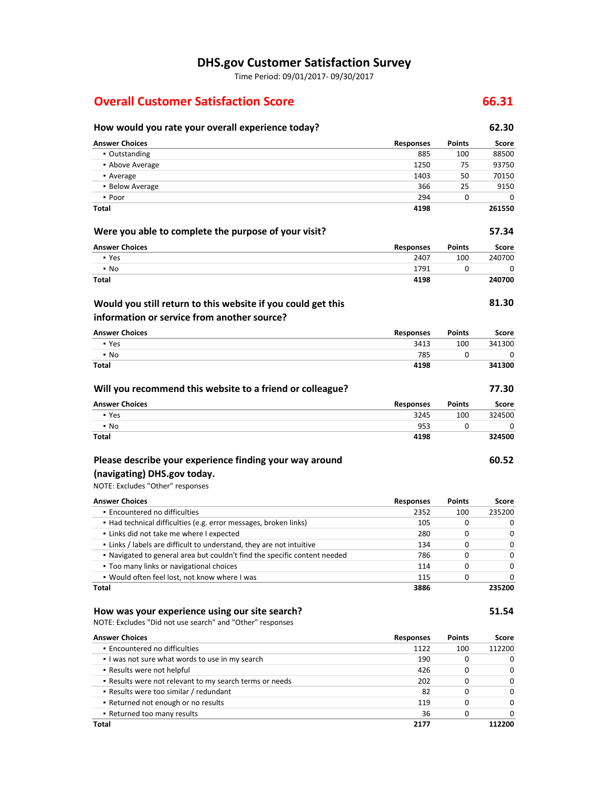## **DHS.gov Customer Satisfaction Survey**

Time Period: 09/01/2017- 09/30/2017

## **Overall Customer Satisfaction Score 66.31**

## **How would you rate your overall experience today? 62.30 Answer Choices Responses Points Score** ▪ Outstanding 885 100 88500 **•** Above Average 1250 75 93750 **•** Average 1403 50 70150 **•** Below Average 25 9150 ▪ Poor 294 0 0 **Total 4198 261550 Were you able to complete the purpose of your visit? 57.34 Answer Choices Responses Points Score** ▪ Yes 2407 100 240700 ▪ No 1791 0 0 **Total 4198 240700 81.30 Answer Choices Responses Points Score** ▪ Yes 3413 100 341300 ▪ No 785 0 0 **Total 4198 341300 Will you recommend this website to a friend or colleague? 77.30 Would you still return to this website if you could get this information or service from another source?**

| <b>Answer Choices</b> | <b>Responses</b> | <b>Points</b> | Score  |
|-----------------------|------------------|---------------|--------|
| • Yes                 | 3245             | 100           | 324500 |
| $\cdot$ No            | 953              |               |        |
| <b>Total</b>          | 4198             |               | 324500 |

#### **Please describe your experience finding your way around (navigating) DHS.gov today.**

## NOTE: Excludes "Other" responses

**Answer Choices Responses Points Score** ▪ Encountered no difficulties 2352 100 235200 ▪ Had technical difficulties (e.g. error messages, broken links) 105 0 0 ▪ Links did not take me where I expected 280 0 0 ▪ Links / labels are difficult to understand, they are not intuitive 134 0 0 ▪ Navigated to general area but couldn't find the specific content needed 786 0 0 ▪ Too many links or navigational choices 114 0 0 ▪ Would often feel lost, not know where I was 115 0 0 **Total 3886 235200**

#### **How was your experience using our site search? 51.54**

NOTE: Excludes "Did not use search" and "Other" responses

| <b>Answer Choices</b>                                   | <b>Responses</b> | <b>Points</b> | Score        |
|---------------------------------------------------------|------------------|---------------|--------------|
| • Encountered no difficulties                           | 1122             | 100           | 112200       |
| I was not sure what words to use in my search           | 190              |               | 0            |
| • Results were not helpful                              | 426              |               | 0            |
| . Results were not relevant to my search terms or needs | 202              | 0             | 0            |
| • Results were too similar / redundant                  | -82              | 0             | $\Omega$     |
| • Returned not enough or no results                     | 119              | 0             | $\Omega$     |
| • Returned too many results                             | 36               | 0             | <sup>0</sup> |
| Total                                                   | 2177             |               | 112200       |

**60.52**